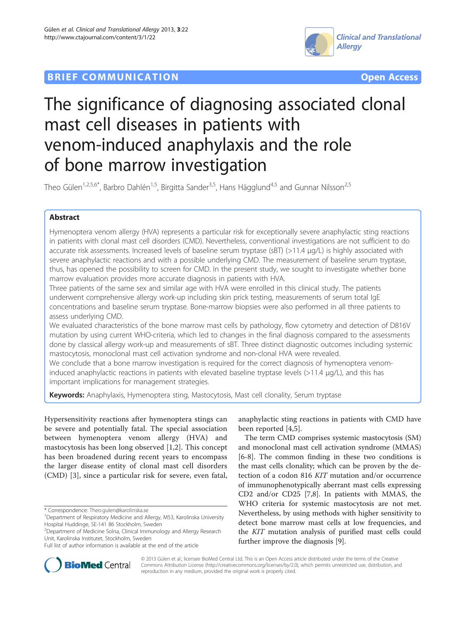# **BRIEF COMMUNICATION COMMUNICATION**





# The significance of diagnosing associated clonal mast cell diseases in patients with venom-induced anaphylaxis and the role of bone marrow investigation

Theo Gülen<sup>1,2,5,6\*</sup>, Barbro Dahlén<sup>1,5</sup>, Birgitta Sander<sup>3,5</sup>, Hans Hägglund<sup>4,5</sup> and Gunnar Nilsson<sup>2,5</sup>

# Abstract

Hymenoptera venom allergy (HVA) represents a particular risk for exceptionally severe anaphylactic sting reactions in patients with clonal mast cell disorders (CMD). Nevertheless, conventional investigations are not sufficient to do accurate risk assessments. Increased levels of baseline serum tryptase (sBT) (>11.4 μg/L) is highly associated with severe anaphylactic reactions and with a possible underlying CMD. The measurement of baseline serum tryptase, thus, has opened the possibility to screen for CMD. In the present study, we sought to investigate whether bone marrow evaluation provides more accurate diagnosis in patients with HVA.

Three patients of the same sex and similar age with HVA were enrolled in this clinical study. The patients underwent comprehensive allergy work-up including skin prick testing, measurements of serum total IgE concentrations and baseline serum tryptase. Bone-marrow biopsies were also performed in all three patients to assess underlying CMD.

We evaluated characteristics of the bone marrow mast cells by pathology, flow cytometry and detection of D816V mutation by using current WHO-criteria, which led to changes in the final diagnosis compared to the assessments done by classical allergy work-up and measurements of sBT. Three distinct diagnostic outcomes including systemic mastocytosis, monoclonal mast cell activation syndrome and non-clonal HVA were revealed.

We conclude that a bone marrow investigation is required for the correct diagnosis of hymenoptera venominduced anaphylactic reactions in patients with elevated baseline tryptase levels (>11.4 μg/L), and this has important implications for management strategies.

Keywords: Anaphylaxis, Hymenoptera sting, Mastocytosis, Mast cell clonality, Serum tryptase

Hypersensitivity reactions after hymenoptera stings can be severe and potentially fatal. The special association between hymenoptera venom allergy (HVA) and mastocytosis has been long observed [[1,2](#page-4-0)]. This concept has been broadened during recent years to encompass the larger disease entity of clonal mast cell disorders (CMD) [[3\]](#page-4-0), since a particular risk for severe, even fatal,

anaphylactic sting reactions in patients with CMD have been reported [[4,5\]](#page-4-0).

The term CMD comprises systemic mastocytosis (SM) and monoclonal mast cell activation syndrome (MMAS) [[6-8](#page-4-0)]. The common finding in these two conditions is the mast cells clonality; which can be proven by the detection of a codon 816 KIT mutation and/or occurrence of immunophenotypically aberrant mast cells expressing CD2 and/or CD25 [\[7,8](#page-4-0)]. In patients with MMAS, the WHO criteria for systemic mastocytosis are not met. Nevertheless, by using methods with higher sensitivity to detect bone marrow mast cells at low frequencies, and the KIT mutation analysis of purified mast cells could further improve the diagnosis [\[9](#page-4-0)].



© 2013 Gülen et al.; licensee BioMed Central Ltd. This is an Open Access article distributed under the terms of the Creative Commons Attribution License [\(http://creativecommons.org/licenses/by/2.0\)](http://creativecommons.org/licenses/by/2.0), which permits unrestricted use, distribution, and reproduction in any medium, provided the original work is properly cited.

<sup>\*</sup> Correspondence: [Theo.gulen@karolinska.se](mailto:Theo.gulen@karolinska.se) <sup>1</sup>

<sup>&</sup>lt;sup>1</sup>Department of Respiratory Medicine and Allergy, M53, Karolinska University Hospital Huddinge, SE-141 86 Stockholm, Sweden

<sup>2</sup> Department of Medicine Solna, Clinical Immunology and Allergy Research Unit, Karolinska Institutet, Stockholm, Sweden

Full list of author information is available at the end of the article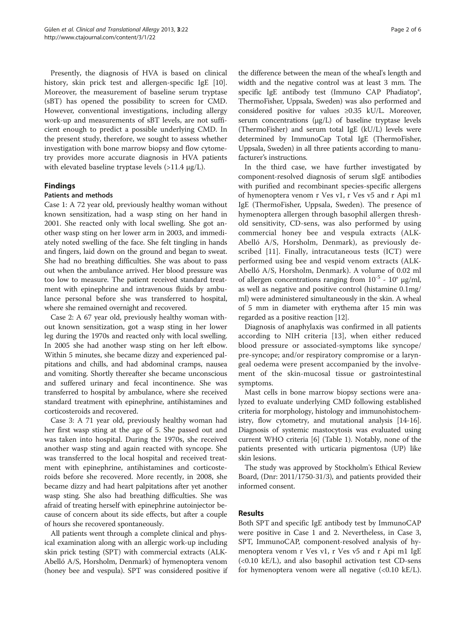Presently, the diagnosis of HVA is based on clinical history, skin prick test and allergen-specific IgE [\[10](#page-4-0)]. Moreover, the measurement of baseline serum tryptase (sBT) has opened the possibility to screen for CMD. However, conventional investigations, including allergy work-up and measurements of sBT levels, are not sufficient enough to predict a possible underlying CMD. In the present study, therefore, we sought to assess whether investigation with bone marrow biopsy and flow cytometry provides more accurate diagnosis in HVA patients with elevated baseline tryptase levels  $(>11.4 \mu g/L)$ .

# Findings

# Patients and methods

Case 1: A 72 year old, previously healthy woman without known sensitization, had a wasp sting on her hand in 2001. She reacted only with local swelling. She got another wasp sting on her lower arm in 2003, and immediately noted swelling of the face. She felt tingling in hands and fingers, laid down on the ground and began to sweat. She had no breathing difficulties. She was about to pass out when the ambulance arrived. Her blood pressure was too low to measure. The patient received standard treatment with epinephrine and intravenous fluids by ambulance personal before she was transferred to hospital, where she remained overnight and recovered.

Case 2: A 67 year old, previously healthy woman without known sensitization, got a wasp sting in her lower leg during the 1970s and reacted only with local swelling. In 2005 she had another wasp sting on her left elbow. Within 5 minutes, she became dizzy and experienced palpitations and chills, and had abdominal cramps, nausea and vomiting. Shortly thereafter she became unconscious and suffered urinary and fecal incontinence. She was transferred to hospital by ambulance, where she received standard treatment with epinephrine, antihistamines and corticosteroids and recovered.

Case 3: A 71 year old, previously healthy woman had her first wasp sting at the age of 5. She passed out and was taken into hospital. During the 1970s, she received another wasp sting and again reacted with syncope. She was transferred to the local hospital and received treatment with epinephrine, antihistamines and corticosteroids before she recovered. More recently, in 2008, she became dizzy and had heart palpitations after yet another wasp sting. She also had breathing difficulties. She was afraid of treating herself with epinephrine autoinjector because of concern about its side effects, but after a couple of hours she recovered spontaneously.

All patients went through a complete clinical and physical examination along with an allergic work-up including skin prick testing (SPT) with commercial extracts (ALK-Abelló A/S, Horsholm, Denmark) of hymenoptera venom (honey bee and vespula). SPT was considered positive if

the difference between the mean of the wheal's length and width and the negative control was at least 3 mm. The specific IgE antibody test (Immuno CAP Phadiatop®, ThermoFisher, Uppsala, Sweden) was also performed and considered positive for values ≥0.35 kU/L. Moreover, serum concentrations (μg/L) of baseline tryptase levels (ThermoFisher) and serum total IgE (kU/L) levels were determined by ImmunoCap Total IgE (ThermoFisher, Uppsala, Sweden) in all three patients according to manufacturer's instructions.

In the third case, we have further investigated by component-resolved diagnosis of serum sIgE antibodies with purified and recombinant species-specific allergens of hymenoptera venom r Ves v1, r Ves v5 and r Api m1 IgE (ThermoFisher, Uppsala, Sweden). The presence of hymenoptera allergen through basophil allergen threshold sensitivity, CD-sens, was also performed by using commercial honey bee and vespula extracts (ALK-Abelló A/S, Horsholm, Denmark), as previously described [[11](#page-4-0)]. Finally, intracutaneous tests (ICT) were performed using bee and vespid venom extracts (ALK-Abelló A/S, Horsholm, Denmark). A volume of 0.02 ml of allergen concentrations ranging from  $10^{-5}$  -  $10^{\circ}$  μg/ml, as well as negative and positive control (histamine 0.1mg/ ml) were administered simultaneously in the skin. A wheal of 5 mm in diameter with erythema after 15 min was regarded as a positive reaction [\[12](#page-4-0)].

Diagnosis of anaphylaxis was confirmed in all patients according to NIH criteria [\[13](#page-4-0)], when either reduced blood pressure or associated-symptoms like syncope/ pre-syncope; and/or respiratory compromise or a laryngeal oedema were present accompanied by the involvement of the skin-mucosal tissue or gastrointestinal symptoms.

Mast cells in bone marrow biopsy sections were analyzed to evaluate underlying CMD following established criteria for morphology, histology and immunohistochemistry, flow cytometry, and mutational analysis [[14](#page-5-0)-[16](#page-5-0)]. Diagnosis of systemic mastocytosis was evaluated using current WHO criteria [[6\]](#page-4-0) (Table [1](#page-2-0)). Notably, none of the patients presented with urticaria pigmentosa (UP) like skin lesions.

The study was approved by Stockholm's Ethical Review Board, (Dnr: 2011/1750-31/3), and patients provided their informed consent.

# Results

Both SPT and specific IgE antibody test by ImmunoCAP were positive in Case 1 and 2. Nevertheless, in Case 3, SPT, ImmunoCAP, component-resolved analysis of hymenoptera venom r Ves v1, r Ves v5 and r Api m1 IgE (<0.10 kE/L), and also basophil activation test CD-sens for hymenoptera venom were all negative  $( $0.10 \text{ kE/L}$ ).$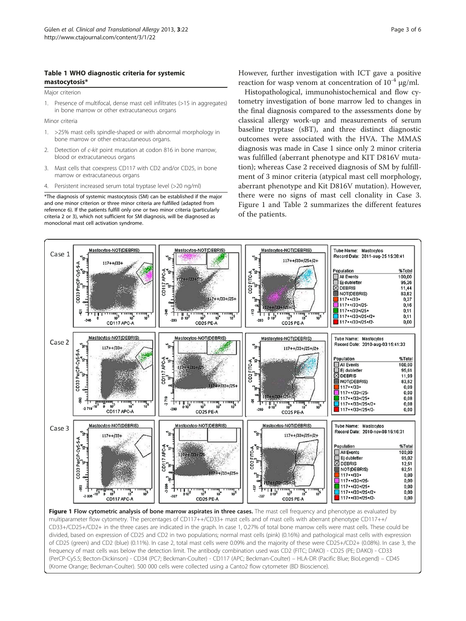## <span id="page-2-0"></span>Table 1 WHO diagnostic criteria for systemic mastocytosis\*

Major criterion

1. Presence of multifocal, dense mast cell infiltrates (>15 in aggregates) in bone marrow or other extracutaneous organs

Minor criteria

- 1. >25% mast cells spindle-shaped or with abnormal morphology in bone marrow or other extracutaneous organs.
- 2. Detection of c-kit point mutation at codon 816 in bone marrow, blood or extracutaneous organs
- 3. Mast cells that coexpress CD117 with CD2 and/or CD25, in bone marrow or extracutaneous organs
- 4. Persistent increased serum total tryptase level (>20 ng/ml)

\*The diagnosis of systemic mastocytosis (SM) can be established if the major and one minor criterion or three minor criteria are fulfilled (adapted from reference 6). If the patients fulfill only one or two minor criteria (particularly criteria 2 or 3), which not sufficient for SM diagnosis, will be diagnosed as monoclonal mast cell activation syndrome.

However, further investigation with ICT gave a positive reaction for wasp venom at concentration of  $10^{-4}$  µg/ml.

Histopathological, immunohistochemical and flow cytometry investigation of bone marrow led to changes in the final diagnosis compared to the assessments done by classical allergy work-up and measurements of serum baseline tryptase (sBT), and three distinct diagnostic outcomes were associated with the HVA. The MMAS diagnosis was made in Case 1 since only 2 minor criteria was fulfilled (aberrant phenotype and KIT D816V mutation); whereas Case 2 received diagnosis of SM by fulfillment of 3 minor criteria (atypical mast cell morphology, aberrant phenotype and Kit D816V mutation). However, there were no signs of mast cell clonality in Case 3. Figure 1 and Table [2](#page-3-0) summarizes the different features of the patients.



multiparameter flow cytometry. The percentages of CD117++/CD33+ mast cells and of mast cells with aberrant phenotype CD117++/ CD33+/CD25+/CD2+ in the three cases are indicated in the graph. In case 1, 0.27% of total bone marrow cells were mast cells. These could be divided, based on expression of CD25 and CD2 in two populations; normal mast cells (pink) (0.16%) and pathological mast cells with expression of CD25 (green) and CD2 (blue) (0.11%). In case 2, total mast cells were 0.09% and the majority of these were CD25+/CD2+ (0.08%). In case 3, the frequency of mast cells was below the detection limit. The antibody combination used was CD2 (FITC; DAKO) - CD25 (PE; DAKO) - CD33 (PerCP-Cy5.5; Becton-Dickinson) - CD34 (PC7; Beckman-Coulter) - CD117 (APC; Beckman-Coulter) – HLA-DR (Pacific Blue; BioLegend) – CD45 (Krome Orange; Beckman-Coulter). 500 000 cells were collected using a Canto2 flow cytometer (BD Bioscience).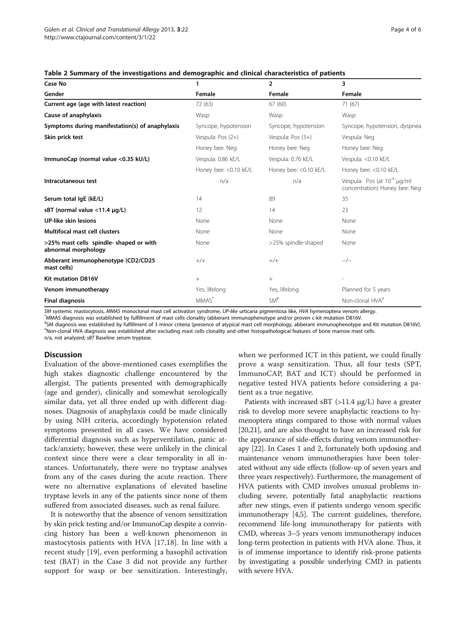| Case No                                                        | 1                      | $\overline{2}$         | 3                                                                 |
|----------------------------------------------------------------|------------------------|------------------------|-------------------------------------------------------------------|
| Gender                                                         | Female                 | Female                 | Female                                                            |
| Current age (age with latest reaction)                         | 72 (63)                | 67(60)                 | 71 (67)                                                           |
| Cause of anaphylaxis                                           | Wasp                   | Wasp                   | Wasp                                                              |
| Symptoms during manifestation(s) of anaphylaxis                | Syncope, hypotension   | Syncope, hypotension   | Syncope, hypotension, dyspnea                                     |
| Skin prick test                                                | Vespula: Pos (2+)      | Vespula: Pos (3+)      | Vespula: Neg                                                      |
|                                                                | Honey bee: Neg         | Honey bee: Neg         | Honey bee: Neg                                                    |
| ImmunoCap (normal value <0.35 kU/L)                            | Vespula: 0.86 kE/L     | Vespula: 0.76 kE/L     | Vespula: < 0.10 kE/L                                              |
|                                                                | Honey bee: < 0.10 kE/L | Honey bee: < 0.10 kE/L | Honey bee: < 0.10 kE/L                                            |
| Intracutaneous test                                            | n/a                    | n/a                    | Vespula: Pos (at $10^{-4}$ µg/ml<br>concentration) Honey bee: Neg |
| Serum total IgE (kE/L)                                         | 14                     | 89                     | 35                                                                |
| sBT (normal value <11.4 µg/L)                                  | 12                     | 14                     | 23                                                                |
| <b>UP-like skin lesions</b>                                    | None                   | None                   | None                                                              |
| Multifocal mast cell clusters                                  | None                   | None                   | None                                                              |
| >25% mast cells spindle- shaped or with<br>abnormal morphology | None                   | >25% spindle-shaped    | None                                                              |
| Abberant immunophenotype (CD2/CD25<br>mast cells)              | $+/+$                  | $+/+$                  | $-/-$                                                             |
| <b>Kit mutation D816V</b>                                      | $^{+}$                 | $^{+}$                 |                                                                   |
| Venom immunotherapy                                            | Yes, lifelong          | Yes, lifelong          | Planned for 5 years                                               |
| <b>Final diagnosis</b>                                         | MMAS <sup>*</sup>      | SM <sup>#</sup>        | Non-clonal HVA <sup>n</sup>                                       |

<span id="page-3-0"></span>

SM systemic mastocytosis, MMAS monoclonal mast cell activation syndrome, UP-like urticaria pigmentosa like, HVA hymenoptera venom allergy. \*

MMAS diagnosis was established by fulfillment of mast cells clonality (abberant immunophenotype and/or proven c-kit mutation D816V.

\*SM diagnosis was established by fulfillment of 3 minor criteria (presence of atypical mast cell morphology, abberant immunophenotype and Kit mutation D816V).<br>"Non-clopel HVA diagnosis was established after excluding mast "Non-clonal HVA diagnosis was established after excluding mast cells clonality and other histopathological features of bone marrow mast cells.

### n/a, not analyzed; sBT Baseline serum tryptase.

# Discussion

Evaluation of the above-mentioned cases exemplifies the high stakes diagnostic challenge encountered by the allergist. The patients presented with demographically (age and gender), clinically and somewhat serologically similar data, yet all three ended up with different diagnoses. Diagnosis of anaphylaxis could be made clinically by using NIH criteria, accordingly hypotension related symptoms presented in all cases. We have considered differential diagnosis such as hyperventilation, panic attack/anxiety; however, these were unlikely in the clinical context since there were a clear temporality in all instances. Unfortunately, there were no tryptase analyses from any of the cases during the acute reaction. There were no alternative explanations of elevated baseline tryptase levels in any of the patients since none of them suffered from associated diseases, such as renal failure.

It is noteworthy that the absence of venom sensitization by skin prick testing and/or ImmunoCap despite a convincing history has been a well-known phenomenon in mastocytosis patients with HVA [[17,18\]](#page-5-0). In line with a recent study [\[19](#page-5-0)], even performing a basophil activation test (BAT) in the Case 3 did not provide any further support for wasp or bee sensitization. Interestingly, when we performed ICT in this patient, we could finally prove a wasp sensitization. Thus, all four tests (SPT, ImmunoCAP, BAT and ICT) should be performed in negative tested HVA patients before considering a patient as a true negative.

Patients with increased sBT  $(>11.4 \mu g/L)$  have a greater risk to develop more severe anaphylactic reactions to hymenoptera stings compared to those with normal values [[20](#page-5-0),[21](#page-5-0)], and are also thought to have an increased risk for the appearance of side-effects during venom immunotherapy [[22](#page-5-0)]. In Cases 1 and 2, fortunately both updosing and maintenance venom immunotherapies have been tolerated without any side effects (follow-up of seven years and three years respectively). Furthermore, the management of HVA patients with CMD involves unusual problems including severe, potentially fatal anaphylactic reactions after new stings, even if patients undergo venom specific immunotherapy [[4,5](#page-4-0)]. The current guidelines, therefore, recommend life-long immunotherapy for patients with CMD, whereas 3–5 years venom immunotherapy induces long-term protection in patients with HVA alone. Thus, it is of immense importance to identify risk-prone patients by investigating a possible underlying CMD in patients with severe HVA.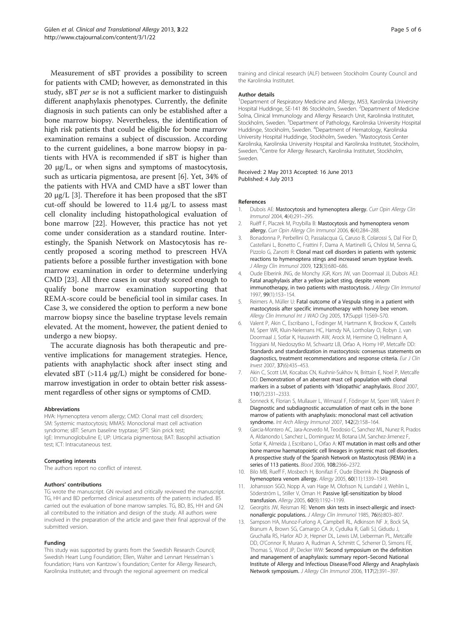<span id="page-4-0"></span>Measurement of sBT provides a possibility to screen for patients with CMD; however, as demonstrated in this study, sBT per se is not a sufficient marker to distinguish different anaphylaxis phenotypes. Currently, the definite diagnosis in such patients can only be established after a bone marrow biopsy. Nevertheless, the identification of high risk patients that could be eligible for bone marrow examination remains a subject of discussion. According to the current guidelines, a bone marrow biopsy in patients with HVA is recommended if sBT is higher than 20 μg/L, or when signs and symptoms of mastocytosis, such as urticaria pigmentosa, are present [6]. Yet, 34% of the patients with HVA and CMD have a sBT lower than 20 μg/L [3]. Therefore it has been proposed that the sBT cut-off should be lowered to 11.4 μg/L to assess mast cell clonality including histopathological evaluation of bone marrow [[22](#page-5-0)]. However, this practice has not yet come under consideration as a standard routine. Interestingly, the Spanish Network on Mastocytosis has recently proposed a scoring method to prescreen HVA patients before a possible further investigation with bone marrow examination in order to determine underlying CMD [[23\]](#page-5-0). All three cases in our study scored enough to qualify bone marrow examination supporting that REMA-score could be beneficial tool in similar cases. In Case 3, we considered the option to perform a new bone marrow biopsy since the baseline tryptase levels remain elevated. At the moment, however, the patient denied to undergo a new biopsy.

The accurate diagnosis has both therapeutic and preventive implications for management strategies. Hence, patients with anaphylactic shock after insect sting and elevated sBT (>11.4 μg/L) might be considered for bonemarrow investigation in order to obtain better risk assessment regardless of other signs or symptoms of CMD.

#### Abbreviations

HVA: Hymenoptera venom allergy; CMD: Clonal mast cell disorders; SM: Systemic mastocytosis; MMAS: Monoclonal mast cell activation syndrome; sBT: Serum baseline tryptase; SPT: Skin prick test; IgE: Immunoglobuline E; UP: Urticaria pigmentosa; BAT: Basophil activation test; ICT: Intracutaneous test.

#### Competing interests

The authors report no conflict of interest.

#### Authors' contributions

TG wrote the manuscript. GN revised and critically reviewed the manuscript. TG, HH and BD performed clinical assessments of the patients included. BS carried out the evaluation of bone marrow samples. TG, BD, BS, HH and GN all contributed to the initiation and design of the study. All authors were involved in the preparation of the article and gave their final approval of the submitted version.

#### Funding

This study was supported by grants from the Swedish Research Council; Swedish Heart Lung Foundation; Ellen, Walter and Lennart Hesselman´s foundation; Hans von Kantzow´s foundation; Center for Allergy Research, Karolinska Institutet; and through the regional agreement on medical

training and clinical research (ALF) between Stockholm County Council and the Karolinska Institutet.

#### Author details

<sup>1</sup>Department of Respiratory Medicine and Allergy, M53, Karolinska University Hospital Huddinge, SE-141 86 Stockholm, Sweden. <sup>2</sup>Department of Medicine Solna, Clinical Immunology and Allergy Research Unit, Karolinska Institutet, Stockholm, Sweden. <sup>3</sup> Department of Pathology, Karolinska University Hospital Huddinge, Stockholm, Sweden. <sup>4</sup>Department of Hematology, Karolinska University Hospital Huddinge, Stockholm, Sweden. <sup>5</sup>Mastocytosis Center Karolinska, Karolinska University Hospital and Karolinska Institutet, Stockholm, Sweden. <sup>6</sup>Centre for Allergy Research, Karolinska Institutet, Stockholm, Sweden.

Received: 2 May 2013 Accepted: 16 June 2013 Published: 4 July 2013

#### References

- 1. Dubois AE: Mastocytosis and hymenoptera allergy. Curr Opin Allergy Clin Immunol 2004, 4(4):291–295.
- 2. Ruëff F, Placzek M, Przybilla B: Mastocytosis and hymenoptera venom allergy. Curr Opin Allergy Clin Immunol 2006, 6(4):284–288.
- 3. Bonadonna P, Perbellini O, Passalacqua G, Caruso B, Colarossi S, Dal Fior D, Castellani L, Bonetto C, Frattini F, Dama A, Martinelli G, Chilosi M, Senna G, Pizzolo G, Zanotti R: Clonal mast cell disorders in patients with systemic reactions to hymenoptera stings and increased serum tryptase levels. J Allergy Clin Immunol 2009, 123(3):680–686.
- 4. Oude Elberink JNG, de Monchy JGR, Kors JW, van Doormaal JJ, Dubois AEJ: Fatal anaphylaxis after a yellow jacket sting, despite venom immunotherapy, in two patients with mastocytosis. J Allergy Clin Immunol 1997, 99(1):153–154.
- 5. Reimers A, Müller U: Fatal outcome of a Vespula sting in a patient with mastocytosis after specific immunotherapy with honey bee venom. Allergy Clin Immunol Int J WAO Org 2005, 17(Suppl 1):S69–S70.
- 6. Valent P, Akin C, Escribano L, Fodinger M, Hartmann K, Brockow K, Castells M, Sperr WR, Kluin-Nelemans HC, Hamdy NA, Lortholary O, Robyn J, van Doormaal J, Sotlar K, Hauswirth AW, Arock M, Hermine O, Hellmann A, Triggiani M, Niedoszytko M, Schwartz LB, Orfao A, Horny HP, Metcalfe DD: Standards and standardization in mastocytosis: consensus statements on diagnostics, treatment recommendations and response criteria. Eur J Clin Invest 2007, 37(6):435–453.
- 7. Akin C, Scott LM, Kocabas CN, Kushnir-Sukhov N, Brittain E, Noel P, Metcalfe DD: Demonstration of an aberrant mast cell population with clonal markers in a subset of patients with 'idiopathic' anaphylaxis. Blood 2007, 110(7):2331–2333.
- 8. Sonneck K, Florian S, Mullauer L, Wimazal F, Födinger M, Sperr WR, Valent P: Diagnostic and subdiagnostic accumulation of mast cells in the bone marrow of patients with anaphylaxis: monoclonal mast cell activation syndrome. Int Arch Allergy Immunol 2007, 142(2):158–164.
- 9. Garcia-Montero AC, Jara-Acevedo M, Teodosio C, Sanchez ML, Nunez R, Prados A, Aldanondo I, Sanchez L, Dominguez M, Botana LM, Sanchez-Jimenez F, Sotlar K, Almeida J, Escribano L, Orfao A: KIT mutation in mast cells and other bone marrow haematopoietic cell lineages in systemic mast cell disorders. A prospective study of the Spanish Network on Mastocytosis (REMA) in a series of 113 patients. Blood 2006, 108:2366–2372.
- 10. Bilo MB, Rueff F, Mosbech H, Bonifazi F, Oude Elberink JN: Diagnosis of hymenoptera venom allergy. Allergy 2005, 60(11):1339–1349.
- 11. Johansson SGO, Nopp A, van Hage M, Olofsson N, Lundahl J, Wehlin L, Söderström L, Stiller V, Oman H: Passive IgE-sensitization by blood transfusion. Allergy 2005, 60(9):1192–1199.
- 12. Georgitis JW, Reisman RE: Venom skin tests in insect-allergic and insectnonallergic populations. J Allergy Clin Immunol 1985, 76(6):803-807.
- 13. Sampson HA, Munoz-Furlong A, Campbell RL, Adkinson NF Jr, Bock SA, Branum A, Brown SG, Camargo CA Jr, Cydulka R, Galli SJ, Gidudu J, Gruchalla RS, Harlor AD Jr, Hepner DL, Lewis LM, Lieberman PL, Metcalfe DD, O'Connor R, Muraro A, Rudman A, Schmitt C, Scherrer D, Simons FE, Thomas S, Wood JP, Decker WW: Second symposium on the definition and management of anaphylaxis: summary report–Second National Institute of Allergy and Infectious Disease/Food Allergy and Anaphylaxis Network symposium. J Allergy Clin Immunol 2006, 117(2):391–397.